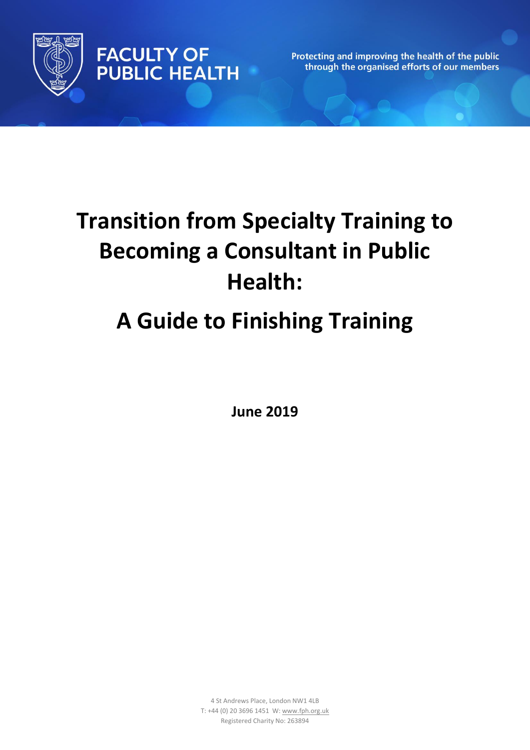

**FACULTY OF PUBLIC HEALTH** 

Protecting and improving the health of the public through the organised efforts of our members

# **Transition from Specialty Training to Becoming a Consultant in Public Health: A Guide to Finishing Training**

**June 2019**

4 St Andrews Place, London NW1 4LB T: +44 (0) 20 3696 1451 W[: www.fph.org.uk](http://www.fph.org.uk/) Registered Charity No: 263894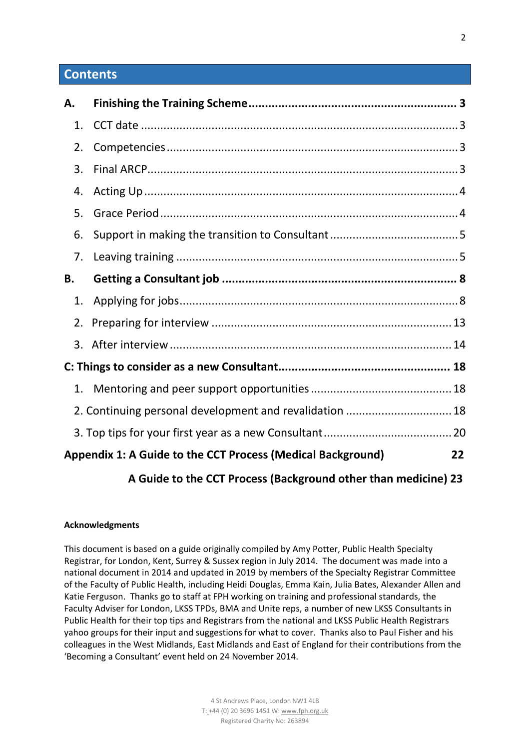## **Contents**

| А. |                                                                                                                                                                                                                                                                                                  |    |
|----|--------------------------------------------------------------------------------------------------------------------------------------------------------------------------------------------------------------------------------------------------------------------------------------------------|----|
| 1. |                                                                                                                                                                                                                                                                                                  |    |
| 2. |                                                                                                                                                                                                                                                                                                  |    |
| 3. |                                                                                                                                                                                                                                                                                                  |    |
| 4. |                                                                                                                                                                                                                                                                                                  |    |
| 5. |                                                                                                                                                                                                                                                                                                  |    |
| 6. |                                                                                                                                                                                                                                                                                                  |    |
| 7. |                                                                                                                                                                                                                                                                                                  |    |
| В. |                                                                                                                                                                                                                                                                                                  |    |
| 1. |                                                                                                                                                                                                                                                                                                  |    |
| 2. |                                                                                                                                                                                                                                                                                                  |    |
|    |                                                                                                                                                                                                                                                                                                  |    |
|    |                                                                                                                                                                                                                                                                                                  |    |
| 1. |                                                                                                                                                                                                                                                                                                  |    |
|    | 2. Continuing personal development and revalidation  18                                                                                                                                                                                                                                          |    |
|    |                                                                                                                                                                                                                                                                                                  |    |
|    | Appendix 1: A Guide to the CCT Process (Medical Background)                                                                                                                                                                                                                                      | 22 |
|    | $\mathbf{r}$ and $\mathbf{r}$ and $\mathbf{r}$ and $\mathbf{r}$ and $\mathbf{r}$ and $\mathbf{r}$ and $\mathbf{r}$ and $\mathbf{r}$ and $\mathbf{r}$ and $\mathbf{r}$ and $\mathbf{r}$ and $\mathbf{r}$ and $\mathbf{r}$ and $\mathbf{r}$ and $\mathbf{r}$ and $\mathbf{r}$ and $\mathbf{r}$ and |    |

## **A Guide to the CCT Process (Background other than medicine) 23**

#### **Acknowledgments**

This document is based on a guide originally compiled by Amy Potter, Public Health Specialty Registrar, for London, Kent, Surrey & Sussex region in July 2014. The document was made into a national document in 2014 and updated in 2019 by members of the Specialty Registrar Committee of the Faculty of Public Health, including Heidi Douglas, Emma Kain, Julia Bates, Alexander Allen and Katie Ferguson. Thanks go to staff at FPH working on training and professional standards, the Faculty Adviser for London, LKSS TPDs, BMA and Unite reps, a number of new LKSS Consultants in Public Health for their top tips and Registrars from the national and LKSS Public Health Registrars yahoo groups for their input and suggestions for what to cover. Thanks also to Paul Fisher and his colleagues in the West Midlands, East Midlands and East of England for their contributions from the 'Becoming a Consultant' event held on 24 November 2014.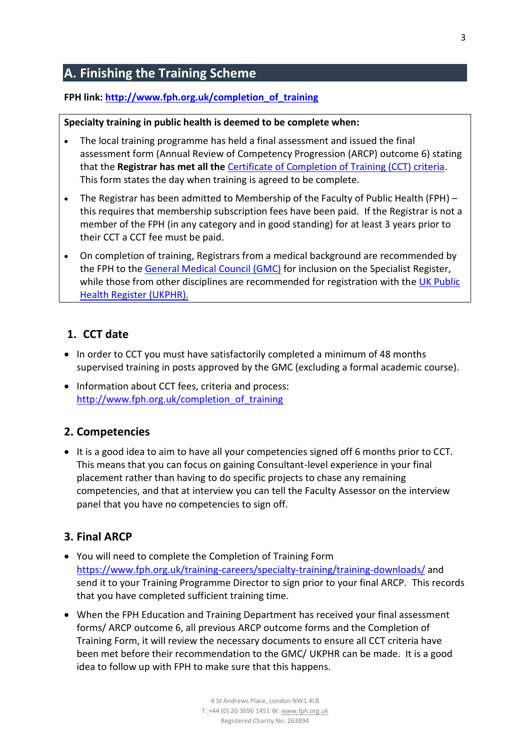# <span id="page-2-0"></span>**A. Finishing the Training Scheme**

#### **FPH link: [http://www.fph.org.uk/completion\\_of\\_training](http://www.fph.org.uk/completion_of_training)**

#### **Specialty training in public health is deemed to be complete when:**

- The local training programme has held a final assessment and issued the final assessment form (Annual Review of Competency Progression (ARCP) outcome 6) stating that the **Registrar has met all the** [Certificate of Completion of Training \(CCT\) criteria.](https://www.fph.org.uk/training-careers/specialty-training/completion-of-training-cct/) This form states the day when training is agreed to be complete.
- The Registrar has been admitted to Membership of the Faculty of Public Health (FPH) this requires that membership subscription fees have been paid. If the Registrar is not a member of the FPH (in any category and in good standing) for at least 3 years prior to their CCT a CCT fee must be paid.
- On completion of training, Registrars from a medical background are recommended by the FPH to the [General Medical Council \(GMC\)](http://www.gmc-uk.org/) for inclusion on the Specialist Register, while those from other disciplines are recommended for registration with the UK Public [Health Register \(UKPHR\).](https://www.ukphr.org/)

## <span id="page-2-1"></span>**1. CCT date**

- In order to CCT you must have satisfactorily completed a minimum of 48 months supervised training in posts approved by the GMC (excluding a formal academic course).
- Information about CCT fees, criteria and process: [http://www.fph.org.uk/completion\\_of\\_training](http://www.fph.org.uk/completion_of_training)

### <span id="page-2-2"></span>**2. Competencies**

• It is a good idea to aim to have all your competencies signed off 6 months prior to CCT. This means that you can focus on gaining Consultant-level experience in your final placement rather than having to do specific projects to chase any remaining competencies, and that at interview you can tell the Faculty Assessor on the interview panel that you have no competencies to sign off.

### <span id="page-2-3"></span>**3. Final ARCP**

- You will need to complete the Completion of Training Form <https://www.fph.org.uk/training-careers/specialty-training/training-downloads/> and send it to your Training Programme Director to sign prior to your final ARCP. This records that you have completed sufficient training time.
- When the FPH Education and Training Department has received your final assessment forms/ ARCP outcome 6, all previous ARCP outcome forms and the Completion of Training Form, it will review the necessary documents to ensure all CCT criteria have been met before their recommendation to the GMC/ UKPHR can be made. It is a good idea to follow up with FPH to make sure that this happens.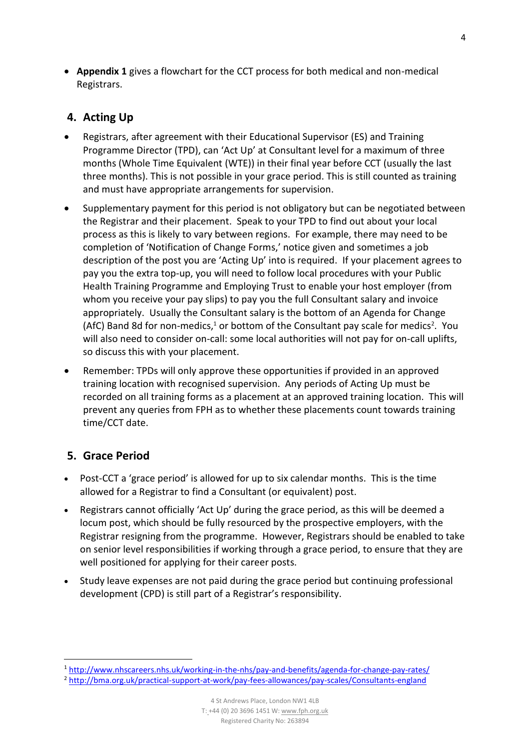**Appendix 1** gives a flowchart for the CCT process for both medical and non-medical Registrars.

# <span id="page-3-0"></span>**4. Acting Up**

- Registrars, after agreement with their Educational Supervisor (ES) and Training Programme Director (TPD), can 'Act Up' at Consultant level for a maximum of three months (Whole Time Equivalent (WTE)) in their final year before CCT (usually the last three months). This is not possible in your grace period. This is still counted as training and must have appropriate arrangements for supervision.
- Supplementary payment for this period is not obligatory but can be negotiated between the Registrar and their placement. Speak to your TPD to find out about your local process as this is likely to vary between regions. For example, there may need to be completion of 'Notification of Change Forms,' notice given and sometimes a job description of the post you are 'Acting Up' into is required. If your placement agrees to pay you the extra top-up, you will need to follow local procedures with your Public Health Training Programme and Employing Trust to enable your host employer (from whom you receive your pay slips) to pay you the full Consultant salary and invoice appropriately. Usually the Consultant salary is the bottom of an Agenda for Change (AfC) Band 8d for non-medics,<sup>1</sup> or bottom of the Consultant pay scale for medics<sup>2</sup>. You will also need to consider on-call: some local authorities will not pay for on-call uplifts, so discuss this with your placement.
- Remember: TPDs will only approve these opportunities if provided in an approved training location with recognised supervision. Any periods of Acting Up must be recorded on all training forms as a placement at an approved training location. This will prevent any queries from FPH as to whether these placements count towards training time/CCT date.

# <span id="page-3-1"></span>**5. Grace Period**

**.** 

- Post-CCT a 'grace period' is allowed for up to six calendar months. This is the time allowed for a Registrar to find a Consultant (or equivalent) post.
- Registrars cannot officially 'Act Up' during the grace period, as this will be deemed a locum post, which should be fully resourced by the prospective employers, with the Registrar resigning from the programme. However, Registrars should be enabled to take on senior level responsibilities if working through a grace period, to ensure that they are well positioned for applying for their career posts.
- Study leave expenses are not paid during the grace period but continuing professional development (CPD) is still part of a Registrar's responsibility.

<sup>1</sup> <http://www.nhscareers.nhs.uk/working-in-the-nhs/pay-and-benefits/agenda-for-change-pay-rates/>

<sup>2</sup> [http://bma.org.uk/practical-support-at-work/pay-fees-allowances/pay-scales/Consultants-england](http://bma.org.uk/practical-support-at-work/pay-fees-allowances/pay-scales/consultants-england)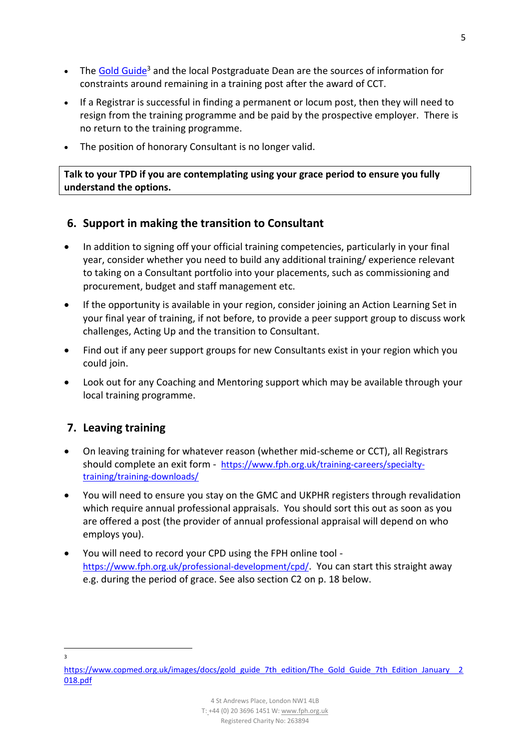- The Gold Guide<sup>3</sup> and the local Postgraduate Dean are the sources of information for constraints around remaining in a training post after the award of CCT.
- If a Registrar is successful in finding a permanent or locum post, then they will need to resign from the training programme and be paid by the prospective employer. There is no return to the training programme.
- The position of honorary Consultant is no longer valid.

**Talk to your TPD if you are contemplating using your grace period to ensure you fully understand the options.**

## <span id="page-4-0"></span>**6. Support in making the transition to Consultant**

- In addition to signing off your official training competencies, particularly in your final year, consider whether you need to build any additional training/ experience relevant to taking on a Consultant portfolio into your placements, such as commissioning and procurement, budget and staff management etc.
- If the opportunity is available in your region, consider joining an Action Learning Set in your final year of training, if not before, to provide a peer support group to discuss work challenges, Acting Up and the transition to Consultant.
- Find out if any peer support groups for new Consultants exist in your region which you could join.
- Look out for any Coaching and Mentoring support which may be available through your local training programme.

# <span id="page-4-1"></span>**7. Leaving training**

- On leaving training for whatever reason (whether mid-scheme or CCT), all Registrars should complete an exit form - [https://www.fph.org.uk/training-careers/specialty](https://www.fph.org.uk/training-careers/specialty-training/training-downloads/)[training/training-downloads/](https://www.fph.org.uk/training-careers/specialty-training/training-downloads/)
- You will need to ensure you stay on the GMC and UKPHR registers through revalidation which require annual professional appraisals. You should sort this out as soon as you are offered a post (the provider of annual professional appraisal will depend on who employs you).
- You will need to record your CPD using the FPH online tool <https://www.fph.org.uk/professional-development/cpd/>. You can start this straight away e.g. during the period of grace. See also section C2 on p. 18 below.

**.** 3

[https://www.copmed.org.uk/images/docs/gold\\_guide\\_7th\\_edition/The\\_Gold\\_Guide\\_7th\\_Edition\\_January\\_\\_2](https://www.copmed.org.uk/images/docs/gold_guide_7th_edition/The_Gold_Guide_7th_Edition_January__2018.pdf) [018.pdf](https://www.copmed.org.uk/images/docs/gold_guide_7th_edition/The_Gold_Guide_7th_Edition_January__2018.pdf)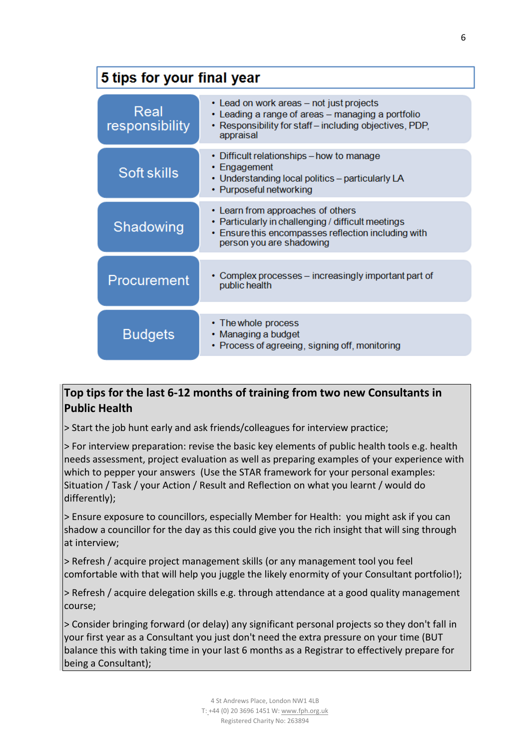# 5 tips for your final year

| Real<br>responsibility | • Lead on work areas – not just projects<br>Leading a range of areas - managing a portfolio<br>Responsibility for staff - including objectives, PDP,<br>appraisal          |
|------------------------|----------------------------------------------------------------------------------------------------------------------------------------------------------------------------|
| Soft skills            | • Difficult relationships - how to manage<br>• Engagement<br>• Understanding local politics - particularly LA<br>• Purposeful networking                                   |
| Shadowing              | • Learn from approaches of others<br>• Particularly in challenging / difficult meetings<br>• Ensure this encompasses reflection including with<br>person you are shadowing |
| Procurement            | Complex processes – increasingly important part of<br>public health                                                                                                        |
| <b>Budgets</b>         | • The whole process<br>• Managing a budget<br>• Process of agreeing, signing off, monitoring                                                                               |

# **Top tips for the last 6-12 months of training from two new Consultants in Public Health**

> Start the job hunt early and ask friends/colleagues for interview practice;

> For interview preparation: revise the basic key elements of public health tools e.g. health needs assessment, project evaluation as well as preparing examples of your experience with which to pepper your answers (Use the STAR framework for your personal examples: Situation / Task / your Action / Result and Reflection on what you learnt / would do differently);

> Ensure exposure to councillors, especially Member for Health: you might ask if you can shadow a councillor for the day as this could give you the rich insight that will sing through at interview;

> Refresh / acquire project management skills (or any management tool you feel comfortable with that will help you juggle the likely enormity of your Consultant portfolio!);

> Refresh / acquire delegation skills e.g. through attendance at a good quality management course;

> Consider bringing forward (or delay) any significant personal projects so they don't fall in your first year as a Consultant you just don't need the extra pressure on your time (BUT balance this with taking time in your last 6 months as a Registrar to effectively prepare for being a Consultant);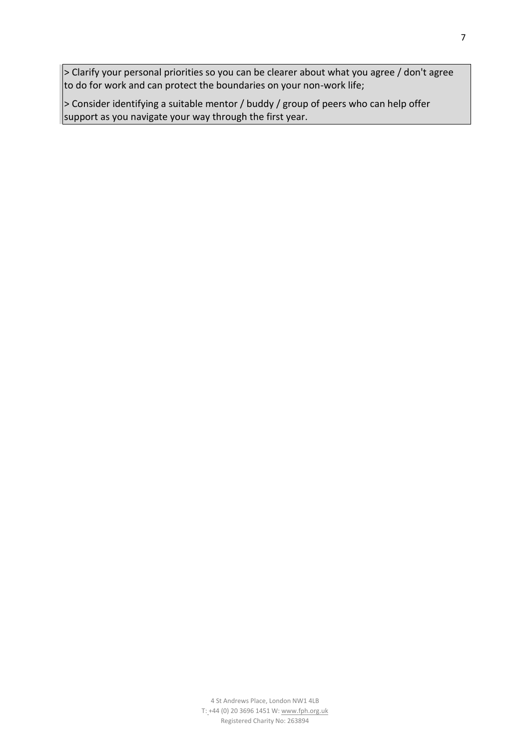> Clarify your personal priorities so you can be clearer about what you agree / don't agree to do for work and can protect the boundaries on your non-work life;

 $\vert$ > Consider identifying a suitable mentor / buddy / group of peers who can help offer support as you navigate your way through the first year.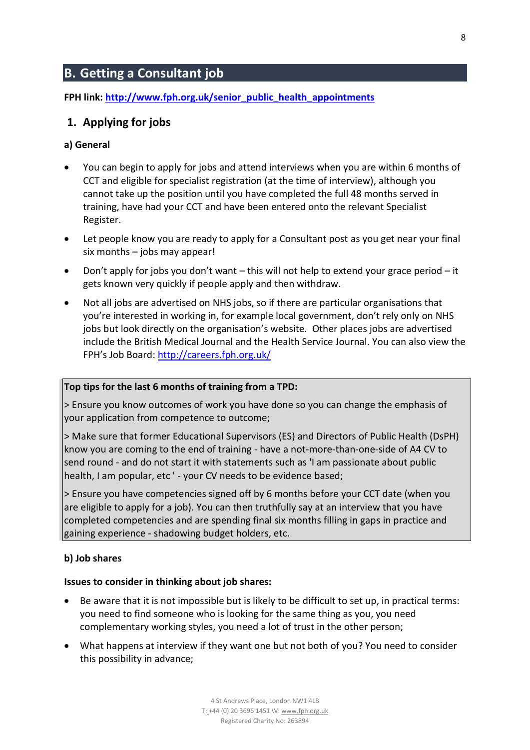# <span id="page-7-0"></span>**B. Getting a Consultant job**

**FPH link: [http://www.fph.org.uk/senior\\_public\\_health\\_appointments](http://www.fph.org.uk/senior_public_health_appointments)**

## <span id="page-7-1"></span>**1. Applying for jobs**

#### **a) General**

- You can begin to apply for jobs and attend interviews when you are within 6 months of CCT and eligible for specialist registration (at the time of interview), although you cannot take up the position until you have completed the full 48 months served in training, have had your CCT and have been entered onto the relevant Specialist Register.
- Let people know you are ready to apply for a Consultant post as you get near your final six months – jobs may appear!
- Don't apply for jobs you don't want this will not help to extend your grace period it gets known very quickly if people apply and then withdraw.
- Not all jobs are advertised on NHS jobs, so if there are particular organisations that you're interested in working in, for example local government, don't rely only on NHS jobs but look directly on the organisation's website. Other places jobs are advertised include the British Medical Journal and the Health Service Journal. You can also view the FPH's Job Board: <http://careers.fph.org.uk/>

#### **Top tips for the last 6 months of training from a TPD:**

> Ensure you know outcomes of work you have done so you can change the emphasis of your application from competence to outcome;

> Make sure that former Educational Supervisors (ES) and Directors of Public Health (DsPH) know you are coming to the end of training - have a not-more-than-one-side of A4 CV to send round - and do not start it with statements such as 'I am passionate about public health, I am popular, etc ' - your CV needs to be evidence based;

> Ensure you have competencies signed off by 6 months before your CCT date (when you are eligible to apply for a job). You can then truthfully say at an interview that you have completed competencies and are spending final six months filling in gaps in practice and gaining experience - shadowing budget holders, etc.

#### **b) Job shares**

#### **Issues to consider in thinking about job shares:**

- Be aware that it is not impossible but is likely to be difficult to set up, in practical terms: you need to find someone who is looking for the same thing as you, you need complementary working styles, you need a lot of trust in the other person;
- What happens at interview if they want one but not both of you? You need to consider this possibility in advance;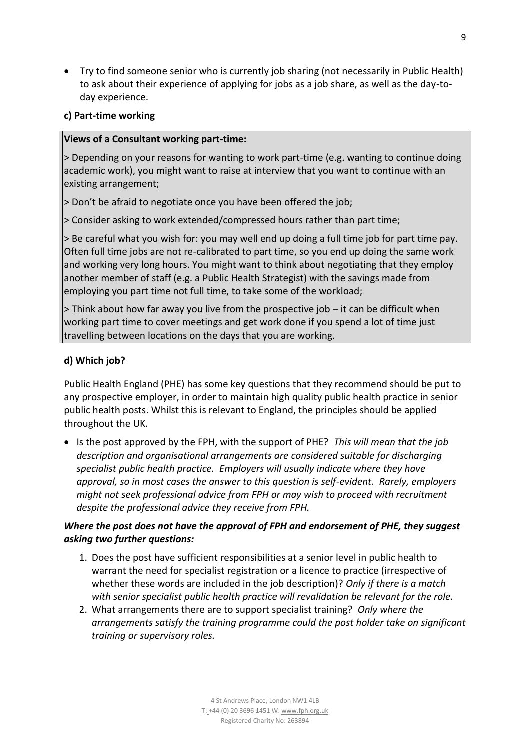Try to find someone senior who is currently job sharing (not necessarily in Public Health) to ask about their experience of applying for jobs as a job share, as well as the day-today experience.

#### **c) Part-time working**

#### **Views of a Consultant working part-time:**

> Depending on your reasons for wanting to work part-time (e.g. wanting to continue doing academic work), you might want to raise at interview that you want to continue with an existing arrangement;

> Don't be afraid to negotiate once you have been offered the job;

> Consider asking to work extended/compressed hours rather than part time;

> Be careful what you wish for: you may well end up doing a full time job for part time pay. Often full time jobs are not re-calibrated to part time, so you end up doing the same work and working very long hours. You might want to think about negotiating that they employ another member of staff (e.g. a Public Health Strategist) with the savings made from employing you part time not full time, to take some of the workload;

> Think about how far away you live from the prospective job – it can be difficult when working part time to cover meetings and get work done if you spend a lot of time just travelling between locations on the days that you are working.

## **d) Which job?**

Public Health England (PHE) has some key questions that they recommend should be put to any prospective employer, in order to maintain high quality public health practice in senior public health posts. Whilst this is relevant to England, the principles should be applied throughout the UK.

• Is the post approved by the FPH, with the support of PHE? *This will mean that the job description and organisational arrangements are considered suitable for discharging specialist public health practice. Employers will usually indicate where they have approval, so in most cases the answer to this question is self-evident. Rarely, employers might not seek professional advice from FPH or may wish to proceed with recruitment despite the professional advice they receive from FPH.*

## *Where the post does not have the approval of FPH and endorsement of PHE, they suggest asking two further questions:*

- 1. Does the post have sufficient responsibilities at a senior level in public health to warrant the need for specialist registration or a licence to practice (irrespective of whether these words are included in the job description)? *Only if there is a match with senior specialist public health practice will revalidation be relevant for the role.*
- 2. What arrangements there are to support specialist training? *Only where the arrangements satisfy the training programme could the post holder take on significant training or supervisory roles.*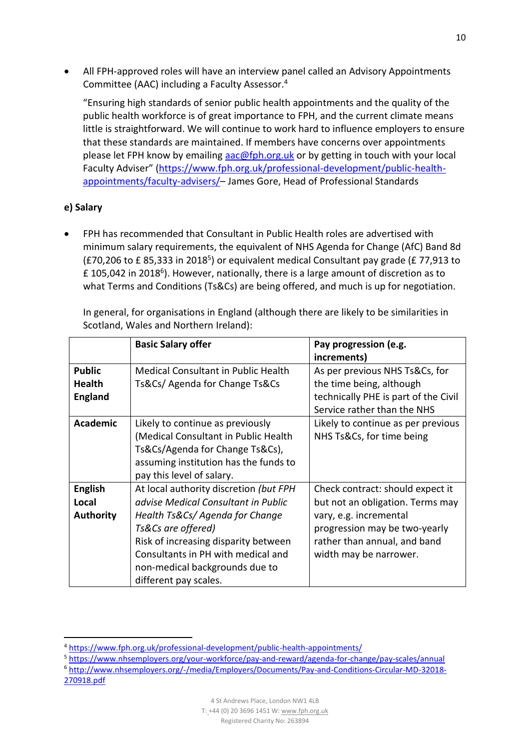All FPH-approved roles will have an interview panel called an Advisory Appointments Committee (AAC) including a Faculty Assessor. 4

"Ensuring high standards of senior public health appointments and the quality of the public health workforce is of great importance to FPH, and the current climate means little is straightforward. We will continue to work hard to influence employers to ensure that these standards are maintained. If members have concerns over appointments please let FPH know by emailing [aac@fph.org.uk](mailto:aac@fph.org.uk) or by getting in touch with your local Faculty Adviser" ([https://www.fph.org.uk/professional-development/public-health](https://www.fph.org.uk/professional-development/public-health-appointments/faculty-advisers/)[appointments/faculty-advisers/](https://www.fph.org.uk/professional-development/public-health-appointments/faculty-advisers/)– James Gore, Head of Professional Standards

### **e) Salary**

**.** 

 FPH has recommended that Consultant in Public Health roles are advertised with minimum salary requirements, the equivalent of NHS Agenda for Change (AfC) Band 8d (£70,206 to £85,333 in 2018<sup>5</sup>) or equivalent medical Consultant pay grade (£77,913 to  $£$  105,042 in 2018<sup>6</sup>). However, nationally, there is a large amount of discretion as to what Terms and Conditions (Ts&Cs) are being offered, and much is up for negotiation.

In general, for organisations in England (although there are likely to be similarities in Scotland, Wales and Northern Ireland):

|                  | <b>Basic Salary offer</b>                  | Pay progression (e.g.                |
|------------------|--------------------------------------------|--------------------------------------|
|                  |                                            | increments)                          |
| <b>Public</b>    | <b>Medical Consultant in Public Health</b> | As per previous NHS Ts&Cs, for       |
| <b>Health</b>    | Ts&Cs/ Agenda for Change Ts&Cs             | the time being, although             |
| <b>England</b>   |                                            | technically PHE is part of the Civil |
|                  |                                            | Service rather than the NHS          |
| Academic         | Likely to continue as previously           | Likely to continue as per previous   |
|                  | (Medical Consultant in Public Health       | NHS Ts&Cs, for time being            |
|                  | Ts&Cs/Agenda for Change Ts&Cs),            |                                      |
|                  | assuming institution has the funds to      |                                      |
|                  | pay this level of salary.                  |                                      |
| <b>English</b>   | At local authority discretion (but FPH     | Check contract: should expect it     |
| Local            | advise Medical Consultant in Public        | but not an obligation. Terms may     |
| <b>Authority</b> | Health Ts&Cs/Agenda for Change             | vary, e.g. incremental               |
|                  | Ts&Cs are offered)                         | progression may be two-yearly        |
|                  | Risk of increasing disparity between       | rather than annual, and band         |
|                  | Consultants in PH with medical and         | width may be narrower.               |
|                  | non-medical backgrounds due to             |                                      |
|                  | different pay scales.                      |                                      |

- <sup>5</sup> <https://www.nhsemployers.org/your-workforce/pay-and-reward/agenda-for-change/pay-scales/annual>
- <sup>6</sup> [http://www.nhsemployers.org/-/media/Employers/Documents/Pay-and-Conditions-Circular-MD-32018-](http://www.nhsemployers.org/-/media/Employers/Documents/Pay-and-Conditions-Circular-MD-32018-270918.pdf) [270918.pdf](http://www.nhsemployers.org/-/media/Employers/Documents/Pay-and-Conditions-Circular-MD-32018-270918.pdf)

<sup>4</sup> <https://www.fph.org.uk/professional-development/public-health-appointments/>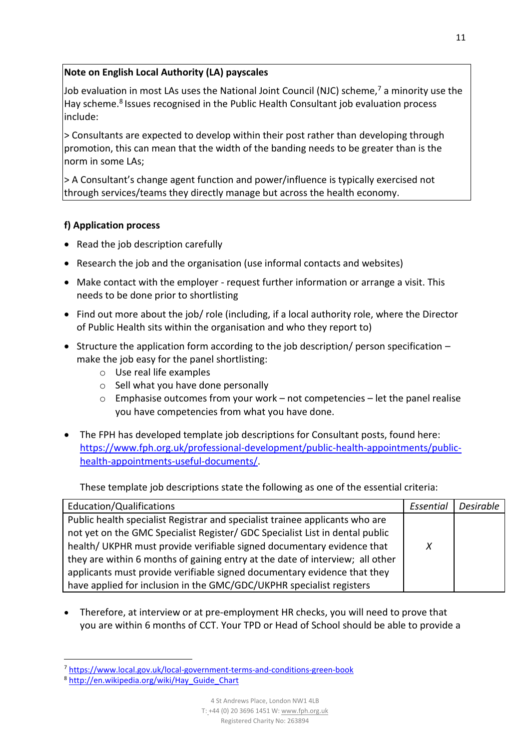## **Note on English Local Authority (LA) payscales**

Job evaluation in most LAs uses the National Joint Council (NJC) scheme, $<sup>7</sup>$  a minority use the</sup> Hay scheme.<sup>8</sup> Issues recognised in the Public Health Consultant job evaluation process include:

> Consultants are expected to develop within their post rather than developing through promotion, this can mean that the width of the banding needs to be greater than is the norm in some LAs;

> A Consultant's change agent function and power/influence is typically exercised not through services/teams they directly manage but across the health economy.

## **f) Application process**

- Read the job description carefully
- Research the job and the organisation (use informal contacts and websites)
- Make contact with the employer request further information or arrange a visit. This needs to be done prior to shortlisting
- Find out more about the job/ role (including, if a local authority role, where the Director of Public Health sits within the organisation and who they report to)
- Structure the application form according to the job description/ person specification  $$ make the job easy for the panel shortlisting:
	- o Use real life examples
	- o Sell what you have done personally
	- $\circ$  Emphasise outcomes from your work not competencies let the panel realise you have competencies from what you have done.
- The FPH has developed template job descriptions for Consultant posts, found here: [https://www.fph.org.uk/professional-development/public-health-appointments/public](https://www.fph.org.uk/professional-development/public-health-appointments/public-health-appointments-useful-documents/)[health-appointments-useful-documents/.](https://www.fph.org.uk/professional-development/public-health-appointments/public-health-appointments-useful-documents/)

These template job descriptions state the following as one of the essential criteria:

| Education/Qualifications                                                      | Essential | Desirable |
|-------------------------------------------------------------------------------|-----------|-----------|
| Public health specialist Registrar and specialist trainee applicants who are  |           |           |
| not yet on the GMC Specialist Register/ GDC Specialist List in dental public  |           |           |
| health/ UKPHR must provide verifiable signed documentary evidence that        | X         |           |
| they are within 6 months of gaining entry at the date of interview; all other |           |           |
| applicants must provide verifiable signed documentary evidence that they      |           |           |
| have applied for inclusion in the GMC/GDC/UKPHR specialist registers          |           |           |

 Therefore, at interview or at pre-employment HR checks, you will need to prove that you are within 6 months of CCT. Your TPD or Head of School should be able to provide a

**.** 

<sup>7</sup> <https://www.local.gov.uk/local-government-terms-and-conditions-green-book>

<sup>8</sup> [http://en.wikipedia.org/wiki/Hay\\_Guide\\_Chart](http://en.wikipedia.org/wiki/Hay_Guide_Chart)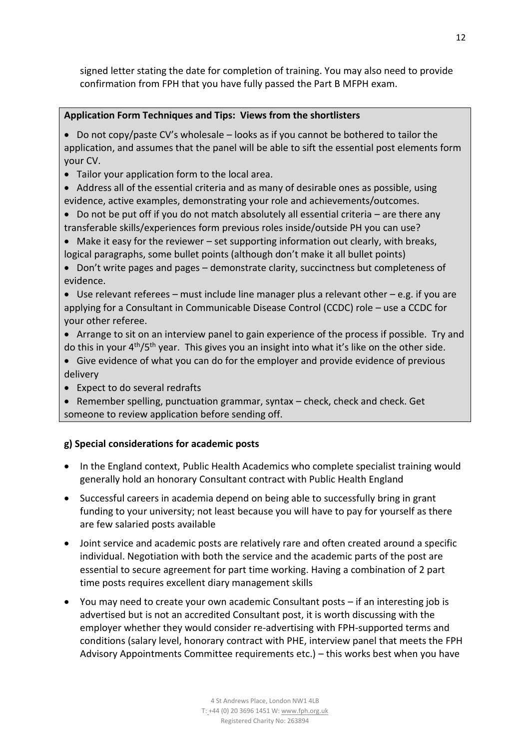signed letter stating the date for completion of training. You may also need to provide confirmation from FPH that you have fully passed the Part B MFPH exam.

#### **Application Form Techniques and Tips: Views from the shortlisters**

- $\bullet$  Do not copy/paste CV's wholesale looks as if you cannot be bothered to tailor the application, and assumes that the panel will be able to sift the essential post elements form your CV.
- Tailor your application form to the local area.
- Address all of the essential criteria and as many of desirable ones as possible, using evidence, active examples, demonstrating your role and achievements/outcomes.
- $\bullet$  Do not be put off if you do not match absolutely all essential criteria are there any transferable skills/experiences form previous roles inside/outside PH you can use?
- Make it easy for the reviewer set supporting information out clearly, with breaks, logical paragraphs, some bullet points (although don't make it all bullet points)

 Don't write pages and pages – demonstrate clarity, succinctness but completeness of evidence.

- Use relevant referees must include line manager plus a relevant other e.g. if you are applying for a Consultant in Communicable Disease Control (CCDC) role – use a CCDC for your other referee.
- Arrange to sit on an interview panel to gain experience of the process if possible. Try and do this in your 4<sup>th</sup>/5<sup>th</sup> year. This gives you an insight into what it's like on the other side.
- Give evidence of what you can do for the employer and provide evidence of previous delivery
- Expect to do several redrafts
- Remember spelling, punctuation grammar, syntax check, check and check. Get someone to review application before sending off.

### **g) Special considerations for academic posts**

- In the England context, Public Health Academics who complete specialist training would generally hold an honorary Consultant contract with Public Health England
- Successful careers in academia depend on being able to successfully bring in grant funding to your university; not least because you will have to pay for yourself as there are few salaried posts available
- Joint service and academic posts are relatively rare and often created around a specific individual. Negotiation with both the service and the academic parts of the post are essential to secure agreement for part time working. Having a combination of 2 part time posts requires excellent diary management skills
- You may need to create your own academic Consultant posts if an interesting job is advertised but is not an accredited Consultant post, it is worth discussing with the employer whether they would consider re-advertising with FPH-supported terms and conditions (salary level, honorary contract with PHE, interview panel that meets the FPH Advisory Appointments Committee requirements etc.) – this works best when you have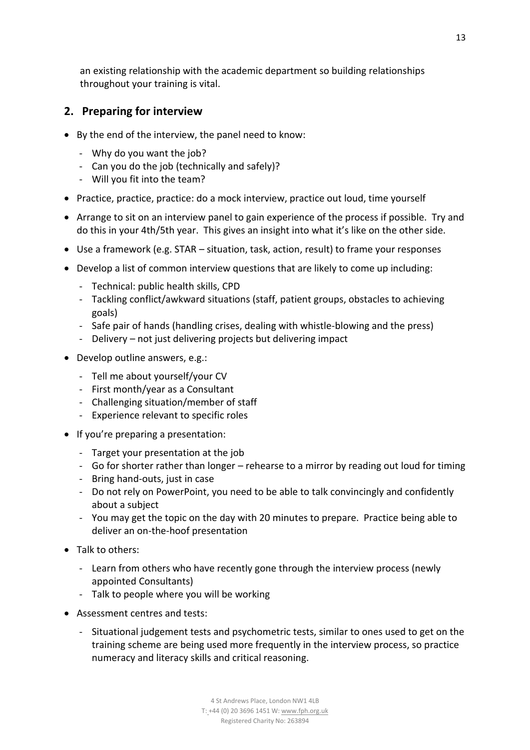an existing relationship with the academic department so building relationships throughout your training is vital.

# <span id="page-12-0"></span>**2. Preparing for interview**

- By the end of the interview, the panel need to know:
	- Why do you want the job?
	- Can you do the job (technically and safely)?
	- Will you fit into the team?
- Practice, practice, practice: do a mock interview, practice out loud, time yourself
- Arrange to sit on an interview panel to gain experience of the process if possible. Try and do this in your 4th/5th year. This gives an insight into what it's like on the other side.
- Use a framework (e.g. STAR situation, task, action, result) to frame your responses
- Develop a list of common interview questions that are likely to come up including:
	- Technical: public health skills, CPD
	- Tackling conflict/awkward situations (staff, patient groups, obstacles to achieving goals)
	- Safe pair of hands (handling crises, dealing with whistle-blowing and the press)
	- Delivery not just delivering projects but delivering impact
- Develop outline answers, e.g.:
	- Tell me about yourself/your CV
	- First month/year as a Consultant
	- Challenging situation/member of staff
	- Experience relevant to specific roles
- If you're preparing a presentation:
	- Target your presentation at the job
	- Go for shorter rather than longer rehearse to a mirror by reading out loud for timing
	- Bring hand-outs, just in case
	- Do not rely on PowerPoint, you need to be able to talk convincingly and confidently about a subject
	- You may get the topic on the day with 20 minutes to prepare. Practice being able to deliver an on-the-hoof presentation
- Talk to others:
	- Learn from others who have recently gone through the interview process (newly appointed Consultants)
	- Talk to people where you will be working
- Assessment centres and tests:
	- Situational judgement tests and psychometric tests, similar to ones used to get on the training scheme are being used more frequently in the interview process, so practice numeracy and literacy skills and critical reasoning.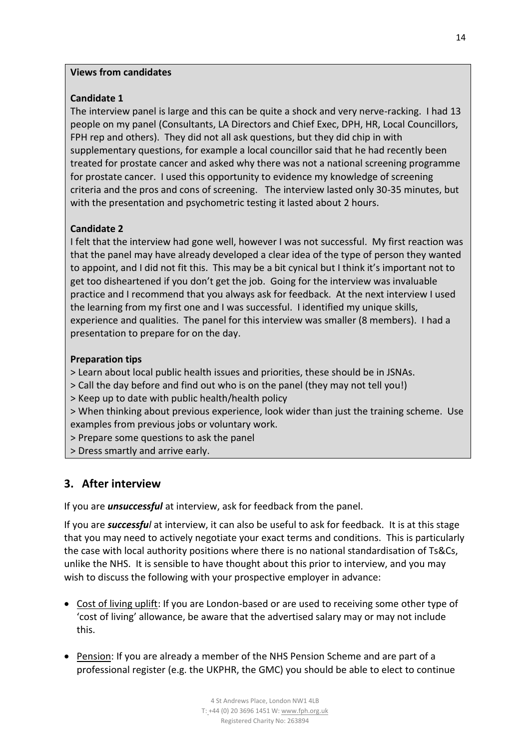#### **Views from candidates**

## **Candidate 1**

The interview panel is large and this can be quite a shock and very nerve-racking. I had 13 people on my panel (Consultants, LA Directors and Chief Exec, DPH, HR, Local Councillors, FPH rep and others). They did not all ask questions, but they did chip in with supplementary questions, for example a local councillor said that he had recently been treated for prostate cancer and asked why there was not a national screening programme for prostate cancer. I used this opportunity to evidence my knowledge of screening criteria and the pros and cons of screening. The interview lasted only 30-35 minutes, but with the presentation and psychometric testing it lasted about 2 hours.

## **Candidate 2**

I felt that the interview had gone well, however I was not successful. My first reaction was that the panel may have already developed a clear idea of the type of person they wanted to appoint, and I did not fit this. This may be a bit cynical but I think it's important not to get too disheartened if you don't get the job. Going for the interview was invaluable practice and I recommend that you always ask for feedback. At the next interview I used the learning from my first one and I was successful. I identified my unique skills, experience and qualities. The panel for this interview was smaller (8 members). I had a presentation to prepare for on the day.

### **Preparation tips**

> Learn about local public health issues and priorities, these should be in JSNAs.

> Call the day before and find out who is on the panel (they may not tell you!)

> Keep up to date with public health/health policy

> When thinking about previous experience, look wider than just the training scheme. Use examples from previous jobs or voluntary work.

> Prepare some questions to ask the panel

> Dress smartly and arrive early.

# <span id="page-13-0"></span>**3. After interview**

If you are *unsuccessful* at interview, ask for feedback from the panel.

If you are *successful* at interview, it can also be useful to ask for feedback. It is at this stage that you may need to actively negotiate your exact terms and conditions. This is particularly the case with local authority positions where there is no national standardisation of Ts&Cs, unlike the NHS. It is sensible to have thought about this prior to interview, and you may wish to discuss the following with your prospective employer in advance:

- Cost of living uplift: If you are London-based or are used to receiving some other type of 'cost of living' allowance, be aware that the advertised salary may or may not include this.
- Pension: If you are already a member of the NHS Pension Scheme and are part of a professional register (e.g. the UKPHR, the GMC) you should be able to elect to continue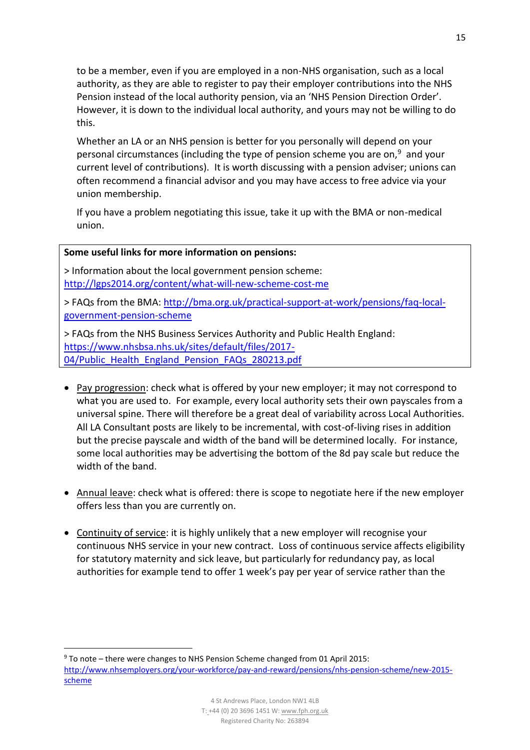to be a member, even if you are employed in a non-NHS organisation, such as a local authority, as they are able to register to pay their employer contributions into the NHS Pension instead of the local authority pension, via an 'NHS Pension Direction Order'. However, it is down to the individual local authority, and yours may not be willing to do this.

Whether an LA or an NHS pension is better for you personally will depend on your personal circumstances (including the type of pension scheme you are on,<sup>9</sup> and your current level of contributions). It is worth discussing with a pension adviser; unions can often recommend a financial advisor and you may have access to free advice via your union membership.

If you have a problem negotiating this issue, take it up with the BMA or non-medical union.

#### **Some useful links for more information on pensions:**

**.** 

> Information about the local government pension scheme: <http://lgps2014.org/content/what-will-new-scheme-cost-me>

> FAQs from the BMA: [http://bma.org.uk/practical-support-at-work/pensions/faq-local](http://bma.org.uk/practical-support-at-work/pensions/faq-local-government-pension-scheme)[government-pension-scheme](http://bma.org.uk/practical-support-at-work/pensions/faq-local-government-pension-scheme)

> FAQs from the NHS Business Services Authority and Public Health England: [https://www.nhsbsa.nhs.uk/sites/default/files/2017-](https://www.nhsbsa.nhs.uk/sites/default/files/2017-04/Public_Health_England_Pension_FAQs_280213.pdf) [04/Public\\_Health\\_England\\_Pension\\_FAQs\\_280213.pdf](https://www.nhsbsa.nhs.uk/sites/default/files/2017-04/Public_Health_England_Pension_FAQs_280213.pdf)

- Pay progression: check what is offered by your new employer; it may not correspond to what you are used to. For example, every local authority sets their own payscales from a universal spine. There will therefore be a great deal of variability across Local Authorities. All LA Consultant posts are likely to be incremental, with cost-of-living rises in addition but the precise payscale and width of the band will be determined locally. For instance, some local authorities may be advertising the bottom of the 8d pay scale but reduce the width of the band.
- Annual leave: check what is offered: there is scope to negotiate here if the new employer offers less than you are currently on.
- Continuity of service: it is highly unlikely that a new employer will recognise your continuous NHS service in your new contract. Loss of continuous service affects eligibility for statutory maternity and sick leave, but particularly for redundancy pay, as local authorities for example tend to offer 1 week's pay per year of service rather than the

<sup>9</sup> To note – there were changes to NHS Pension Scheme changed from 01 April 2015: [http://www.nhsemployers.org/your-workforce/pay-and-reward/pensions/nhs-pension-scheme/new-2015](http://www.nhsemployers.org/your-workforce/pay-and-reward/pensions/nhs-pension-scheme/new-2015-scheme) [scheme](http://www.nhsemployers.org/your-workforce/pay-and-reward/pensions/nhs-pension-scheme/new-2015-scheme)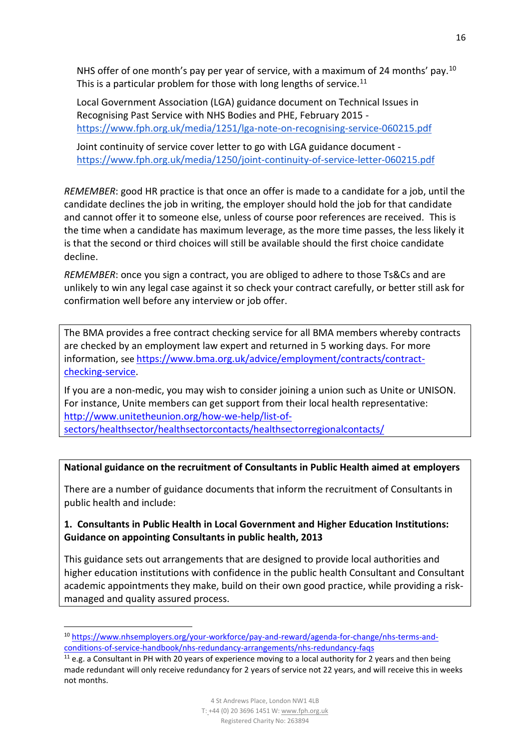NHS offer of one month's pay per year of service, with a maximum of 24 months' pay.<sup>10</sup> This is a particular problem for those with long lengths of service.<sup>11</sup>

Local Government Association (LGA) guidance document on Technical Issues in Recognising Past Service with NHS Bodies and PHE, February 2015 <https://www.fph.org.uk/media/1251/lga-note-on-recognising-service-060215.pdf>

Joint continuity of service cover letter to go with LGA guidance document <https://www.fph.org.uk/media/1250/joint-continuity-of-service-letter-060215.pdf>

*REMEMBER*: good HR practice is that once an offer is made to a candidate for a job, until the candidate declines the job in writing, the employer should hold the job for that candidate and cannot offer it to someone else, unless of course poor references are received. This is the time when a candidate has maximum leverage, as the more time passes, the less likely it is that the second or third choices will still be available should the first choice candidate decline.

*REMEMBER*: once you sign a contract, you are obliged to adhere to those Ts&Cs and are unlikely to win any legal case against it so check your contract carefully, or better still ask for confirmation well before any interview or job offer.

The BMA provides a free contract checking service for all BMA members whereby contracts are checked by an employment law expert and returned in 5 working days. For more information, see [https://www.bma.org.uk/advice/employment/contracts/contract](https://www.bma.org.uk/advice/employment/contracts/contract-checking-service)[checking-service.](https://www.bma.org.uk/advice/employment/contracts/contract-checking-service)

If you are a non-medic, you may wish to consider joining a union such as Unite or UNISON. For instance, Unite members can get support from their local health representative: [http://www.unitetheunion.org/how-we-help/list-of](http://www.unitetheunion.org/how-we-help/list-of-sectors/healthsector/healthsectorcontacts/healthsectorregionalcontacts/)[sectors/healthsector/healthsectorcontacts/healthsectorregionalcontacts/](http://www.unitetheunion.org/how-we-help/list-of-sectors/healthsector/healthsectorcontacts/healthsectorregionalcontacts/)

### **National guidance on the recruitment of Consultants in Public Health aimed at employers**

There are a number of guidance documents that inform the recruitment of Consultants in public health and include:

## **1. Consultants in Public Health in Local Government and Higher Education Institutions: Guidance on appointing Consultants in public health, 2013**

This guidance sets out arrangements that are designed to provide local authorities and higher education institutions with confidence in the public health Consultant and Consultant academic appointments they make, build on their own good practice, while providing a riskmanaged and quality assured process.

 $\overline{\phantom{a}}$ 

<sup>10</sup> [https://www.nhsemployers.org/your-workforce/pay-and-reward/agenda-for-change/nhs-terms-and](https://www.nhsemployers.org/your-workforce/pay-and-reward/agenda-for-change/nhs-terms-and-conditions-of-service-handbook/nhs-redundancy-arrangements/nhs-redundancy-faqs)[conditions-of-service-handbook/nhs-redundancy-arrangements/nhs-redundancy-faqs](https://www.nhsemployers.org/your-workforce/pay-and-reward/agenda-for-change/nhs-terms-and-conditions-of-service-handbook/nhs-redundancy-arrangements/nhs-redundancy-faqs)

 $11$  e.g. a Consultant in PH with 20 years of experience moving to a local authority for 2 years and then being made redundant will only receive redundancy for 2 years of service not 22 years, and will receive this in weeks not months.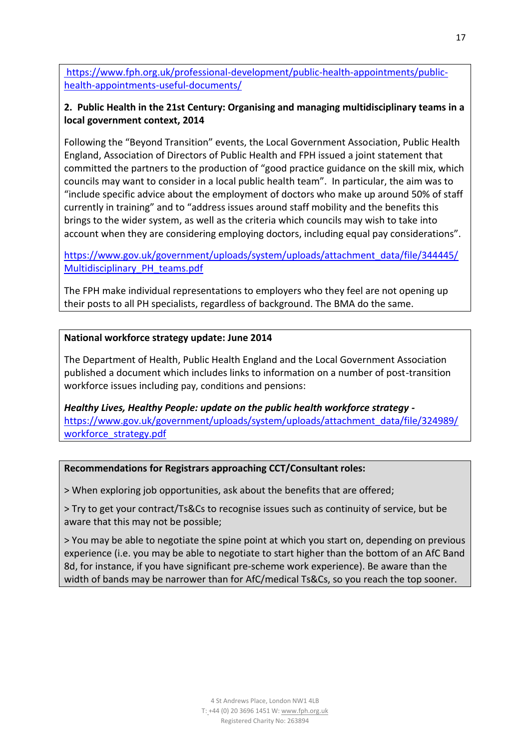[https://www.fph.org.uk/professional-development/public-health-appointments/public](https://www.fph.org.uk/professional-development/public-health-appointments/public-health-appointments-useful-documents/)[health-appointments-useful-documents/](https://www.fph.org.uk/professional-development/public-health-appointments/public-health-appointments-useful-documents/)

## **2. Public Health in the 21st Century: Organising and managing multidisciplinary teams in a local government context, 2014**

Following the "Beyond Transition" events, the Local Government Association, Public Health England, Association of Directors of Public Health and FPH issued a joint statement that committed the partners to the production of "good practice guidance on the skill mix, which councils may want to consider in a local public health team". In particular, the aim was to "include specific advice about the employment of doctors who make up around 50% of staff currently in training" and to "address issues around staff mobility and the benefits this brings to the wider system, as well as the criteria which councils may wish to take into account when they are considering employing doctors, including equal pay considerations".

[https://www.gov.uk/government/uploads/system/uploads/attachment\\_data/file/344445/](https://www.gov.uk/government/uploads/system/uploads/attachment_data/file/344445/Multidisciplinary_PH_teams.pdf) [Multidisciplinary\\_PH\\_teams.pdf](https://www.gov.uk/government/uploads/system/uploads/attachment_data/file/344445/Multidisciplinary_PH_teams.pdf)

The FPH make individual representations to employers who they feel are not opening up their posts to all PH specialists, regardless of background. The BMA do the same.

### **National workforce strategy update: June 2014**

The Department of Health, Public Health England and the Local Government Association published a document which includes links to information on a number of post-transition workforce issues including pay, conditions and pensions:

*Healthy Lives, Healthy People: update on the public health workforce strategy*  [https://www.gov.uk/government/uploads/system/uploads/attachment\\_data/file/324989/](https://www.gov.uk/government/uploads/system/uploads/attachment_data/file/324989/workforce_strategy.pdf) workforce\_strategy.pdf

#### **Recommendations for Registrars approaching CCT/Consultant roles:**

> When exploring job opportunities, ask about the benefits that are offered;

> Try to get your contract/Ts&Cs to recognise issues such as continuity of service, but be aware that this may not be possible;

> You may be able to negotiate the spine point at which you start on, depending on previous experience (i.e. you may be able to negotiate to start higher than the bottom of an AfC Band 8d, for instance, if you have significant pre-scheme work experience). Be aware than the width of bands may be narrower than for AfC/medical Ts&Cs, so you reach the top sooner.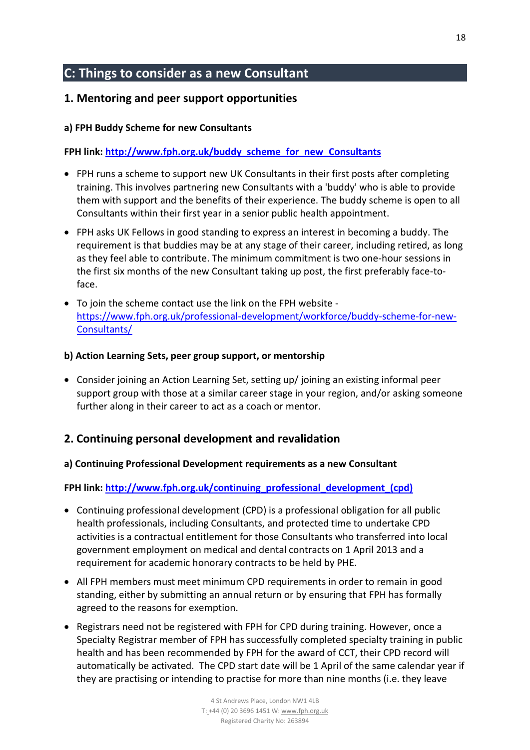# <span id="page-17-0"></span>**C: Things to consider as a new Consultant**

# <span id="page-17-1"></span>**1. Mentoring and peer support opportunities**

### **a) FPH Buddy Scheme for new Consultants**

**FPH link: [http://www.fph.org.uk/buddy\\_scheme\\_for\\_new\\_Consultants](http://www.fph.org.uk/buddy_scheme_for_new_consultants)**

- FPH runs a scheme to support new UK Consultants in their first posts after completing training. This involves partnering new Consultants with a 'buddy' who is able to provide them with support and the benefits of their experience. The buddy scheme is open to all Consultants within their first year in a senior public health appointment.
- FPH asks UK Fellows in good standing to express an interest in becoming a buddy. The requirement is that buddies may be at any stage of their career, including retired, as long as they feel able to contribute. The minimum commitment is two one-hour sessions in the first six months of the new Consultant taking up post, the first preferably face-toface.
- To join the scheme contact use the link on the FPH website [https://www.fph.org.uk/professional-development/workforce/buddy-scheme-for-new-](https://www.fph.org.uk/professional-development/workforce/buddy-scheme-for-new-consultants/)[Consultants/](https://www.fph.org.uk/professional-development/workforce/buddy-scheme-for-new-consultants/)

#### **b) Action Learning Sets, peer group support, or mentorship**

 Consider joining an Action Learning Set, setting up/ joining an existing informal peer support group with those at a similar career stage in your region, and/or asking someone further along in their career to act as a coach or mentor.

## <span id="page-17-2"></span>**2. Continuing personal development and revalidation**

### **a) Continuing Professional Development requirements as a new Consultant**

**FPH link: [http://www.fph.org.uk/continuing\\_professional\\_development\\_\(cpd\)](http://www.fph.org.uk/continuing_professional_development_(cpd))**

- Continuing professional development (CPD) is a professional obligation for all public health professionals, including Consultants, and protected time to undertake CPD activities is a contractual entitlement for those Consultants who transferred into local government employment on medical and dental contracts on 1 April 2013 and a requirement for academic honorary contracts to be held by PHE.
- All FPH members must meet minimum CPD requirements in order to remain in good standing, either by submitting an annual return or by ensuring that FPH has formally agreed to the reasons for exemption.
- Registrars need not be registered with FPH for [CPD](http://www.fph.org.uk/continuing_professional_development_%28cpd%29) during training. However, once a Specialty Registrar member of FPH has successfully completed specialty training in public health and has been recommended by FPH for the award of CCT, their CPD record will automatically be activated. The CPD start date will be 1 April of the same calendar year if they are practising or intending to practise for more than nine months (i.e. they leave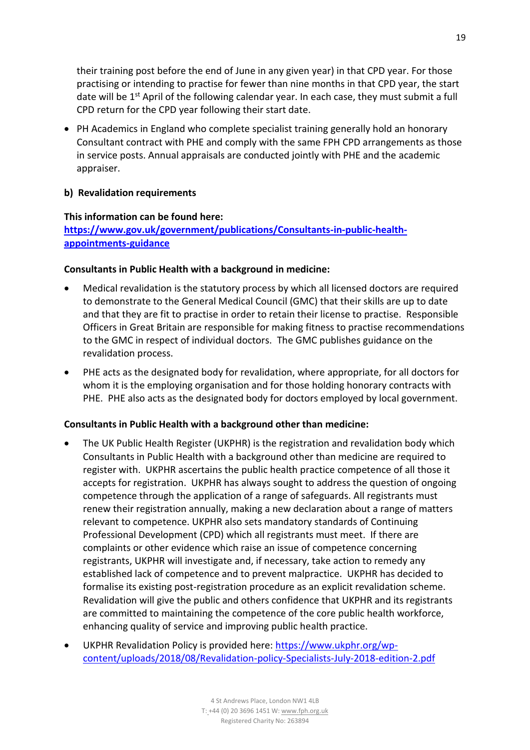their training post before the end of June in any given year) in that CPD year. For those practising or intending to practise for fewer than nine months in that CPD year, the start date will be  $1<sup>st</sup>$  April of the following calendar year. In each case, they must submit a full CPD return for the CPD year following their start date.

• PH Academics in England who complete specialist training generally hold an honorary Consultant contract with PHE and comply with the same FPH CPD arrangements as those in service posts. Annual appraisals are conducted jointly with PHE and the academic appraiser.

#### **b) Revalidation requirements**

#### **This information can be found here:**

**[https://www.gov.uk/government/publications/Consultants-in-public-health](https://www.gov.uk/government/publications/consultants-in-public-health-appointments-guidance)[appointments-guidance](https://www.gov.uk/government/publications/consultants-in-public-health-appointments-guidance)**

#### **Consultants in Public Health with a background in medicine:**

- Medical revalidation is the statutory process by which all licensed doctors are required to demonstrate to the General Medical Council (GMC) that their skills are up to date and that they are fit to practise in order to retain their license to practise. Responsible Officers in Great Britain are responsible for making fitness to practise recommendations to the GMC in respect of individual doctors. The GMC publishes guidance on the revalidation process.
- PHE acts as the designated body for revalidation, where appropriate, for all doctors for whom it is the employing organisation and for those holding honorary contracts with PHE. PHE also acts as the designated body for doctors employed by local government.

#### **Consultants in Public Health with a background other than medicine:**

- The UK Public Health Register (UKPHR) is the registration and revalidation body which Consultants in Public Health with a background other than medicine are required to register with. UKPHR ascertains the public health practice competence of all those it accepts for registration. UKPHR has always sought to address the question of ongoing competence through the application of a range of safeguards. All registrants must renew their registration annually, making a new declaration about a range of matters relevant to competence. UKPHR also sets mandatory standards of Continuing Professional Development (CPD) which all registrants must meet. If there are complaints or other evidence which raise an issue of competence concerning registrants, UKPHR will investigate and, if necessary, take action to remedy any established lack of competence and to prevent malpractice. UKPHR has decided to formalise its existing post-registration procedure as an explicit revalidation scheme. Revalidation will give the public and others confidence that UKPHR and its registrants are committed to maintaining the competence of the core public health workforce, enhancing quality of service and improving public health practice.
- UKPHR Revalidation Policy is provided here: [https://www.ukphr.org/wp](https://www.ukphr.org/wp-content/uploads/2018/08/Revalidation-policy-Specialists-July-2018-edition-2.pdf)[content/uploads/2018/08/Revalidation-policy-Specialists-July-2018-edition-2.pdf](https://www.ukphr.org/wp-content/uploads/2018/08/Revalidation-policy-Specialists-July-2018-edition-2.pdf)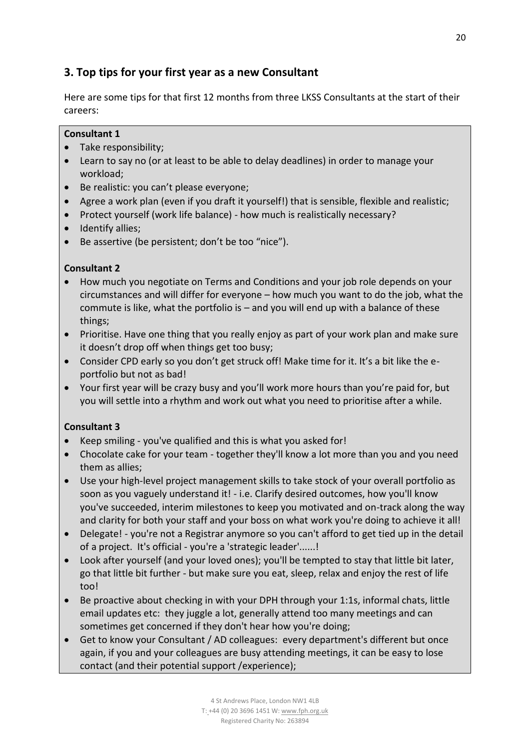# <span id="page-19-0"></span>**3. Top tips for your first year as a new Consultant**

Here are some tips for that first 12 months from three LKSS Consultants at the start of their careers:

### **Consultant 1**

- Take responsibility;
- Learn to say no (or at least to be able to delay deadlines) in order to manage your workload;
- Be realistic: you can't please everyone;
- Agree a work plan (even if you draft it yourself!) that is sensible, flexible and realistic;
- Protect yourself (work life balance) how much is realistically necessary?
- Identify allies;
- Be assertive (be persistent; don't be too "nice").

### **Consultant 2**

- How much you negotiate on Terms and Conditions and your job role depends on your circumstances and will differ for everyone – how much you want to do the job, what the commute is like, what the portfolio is – and you will end up with a balance of these things;
- Prioritise. Have one thing that you really enjoy as part of your work plan and make sure it doesn't drop off when things get too busy;
- Consider CPD early so you don't get struck off! Make time for it. It's a bit like the eportfolio but not as bad!
- Your first year will be crazy busy and you'll work more hours than you're paid for, but you will settle into a rhythm and work out what you need to prioritise after a while.

### **Consultant 3**

- Keep smiling you've qualified and this is what you asked for!
- Chocolate cake for your team together they'll know a lot more than you and you need them as allies;
- Use your high-level project management skills to take stock of your overall portfolio as soon as you vaguely understand it! - i.e. Clarify desired outcomes, how you'll know you've succeeded, interim milestones to keep you motivated and on-track along the way and clarity for both your staff and your boss on what work you're doing to achieve it all!
- Delegate! you're not a Registrar anymore so you can't afford to get tied up in the detail of a project. It's official - you're a 'strategic leader'......!
- Look after yourself (and your loved ones); you'll be tempted to stay that little bit later, go that little bit further - but make sure you eat, sleep, relax and enjoy the rest of life too!
- Be proactive about checking in with your DPH through your 1:1s, informal chats, little email updates etc: they juggle a lot, generally attend too many meetings and can sometimes get concerned if they don't hear how you're doing;
- Get to know your Consultant / AD colleagues: every department's different but once again, if you and your colleagues are busy attending meetings, it can be easy to lose contact (and their potential support /experience);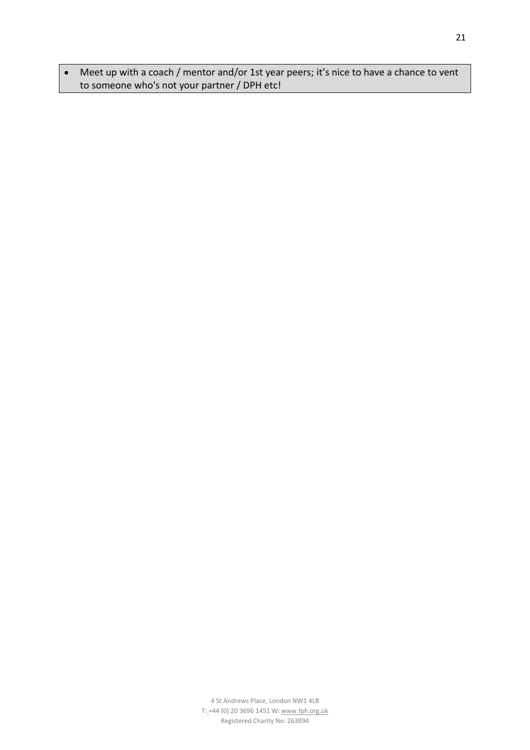Meet up with a coach / mentor and/or 1st year peers; it's nice to have a chance to vent to someone who's not your partner / DPH etc!

21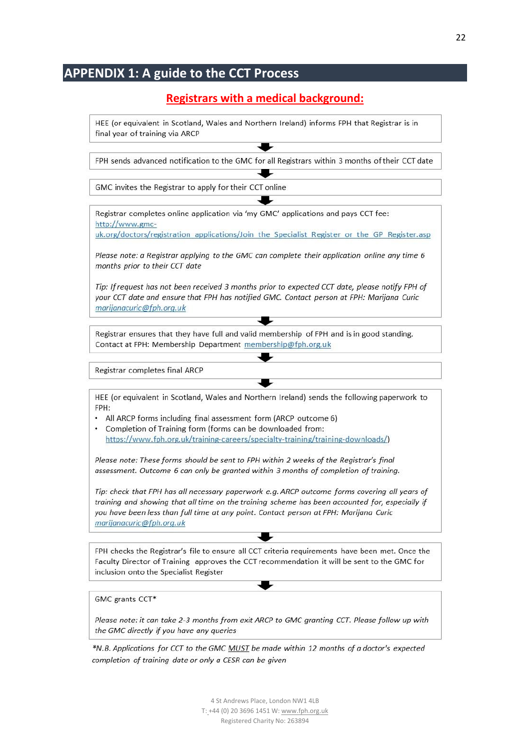# **APPENDIX 1: A guide to the CCT Process**

# **Registrars with a medical background:**

HEE (or equivalent in Scotland, Wales and Northern Ireland) informs FPH that Registrar is in final year of training via ARCP

FPH sends advanced notification to the GMC for all Registrars within 3 months of their CCT date

GMC invites the Registrar to apply for their CCT online

Registrar completes online application via 'my GMC' applications and pays CCT fee: http://www.gmc-

uk.org/doctors/registration applications/Join the Specialist Register or the GP Register.asp

Please note: a Registrar applying to the GMC can complete their application online any time 6 months prior to their CCT date

Tip: If request has not been received 3 months prior to expected CCT date, please notify FPH of your CCT date and ensure that FPH has notified GMC. Contact person at FPH: Marijana Curic marijanacuric@fph.org.uk

Registrar ensures that they have full and valid membership of FPH and is in good standing. Contact at FPH: Membership Department membership@fph.org.uk

Registrar completes final ARCP

HEE (or equivalent in Scotland, Wales and Northern Ireland) sends the following paperwork to FPH:

- All ARCP forms including final assessment form (ARCP outcome 6)
- Completion of Training form (forms can be downloaded from: https://www.fph.org.uk/training-careers/specialty-training/training-downloads/)

Please note: These forms should be sent to FPH within 2 weeks of the Registrar's final assessment. Outcome 6 can only be granted within 3 months of completion of training.

Tip: check that FPH has all necessary paperwork e.g. ARCP outcome forms covering all years of training and showing that all time on the training scheme has been accounted for, especially if you have been less than full time at any point. Contact person at FPH: Marijana Curic marijanacuric@fph.org.uk

FPH checks the Registrar's file to ensure all CCT criteria requirements have been met. Once the Faculty Director of Training approves the CCT recommendation it will be sent to the GMC for inclusion onto the Specialist Register

GMC grants CCT\*

Please note: it can take 2-3 months from exit ARCP to GMC granting CCT. Please follow up with the GMC directly if you have any queries

\*N.B. Applications for CCT to the GMC MUST be made within 12 months of a doctor's expected completion of training date or only a CESR can be given